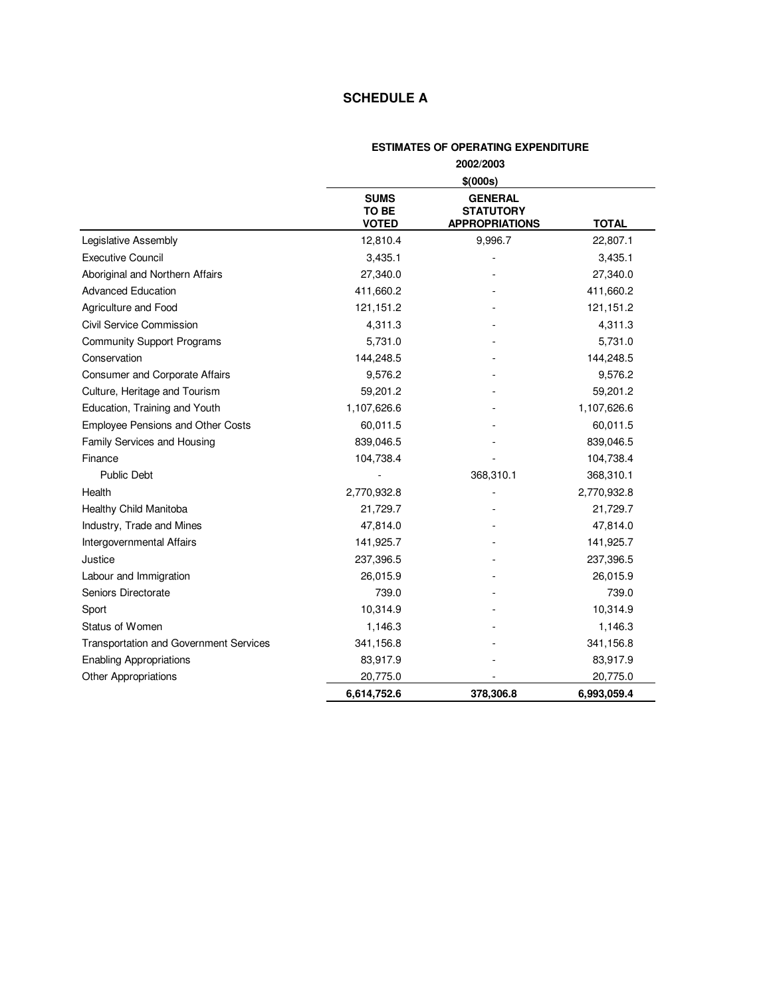## **SCHEDULE A**

## **ESTIMATES OF OPERATING EXPENDITURE 2002/2003**

|                                          | \$(000s)                             |                                                             |              |
|------------------------------------------|--------------------------------------|-------------------------------------------------------------|--------------|
|                                          | <b>SUMS</b><br>TO BE<br><b>VOTED</b> | <b>GENERAL</b><br><b>STATUTORY</b><br><b>APPROPRIATIONS</b> | <b>TOTAL</b> |
| Legislative Assembly                     | 12,810.4                             | 9,996.7                                                     | 22,807.1     |
| <b>Executive Council</b>                 | 3,435.1                              |                                                             | 3,435.1      |
| Aboriginal and Northern Affairs          | 27,340.0                             |                                                             | 27,340.0     |
| <b>Advanced Education</b>                | 411,660.2                            |                                                             | 411,660.2    |
| Agriculture and Food                     | 121,151.2                            |                                                             | 121, 151.2   |
| Civil Service Commission                 | 4,311.3                              |                                                             | 4,311.3      |
| <b>Community Support Programs</b>        | 5,731.0                              |                                                             | 5,731.0      |
| Conservation                             | 144,248.5                            |                                                             | 144,248.5    |
| Consumer and Corporate Affairs           | 9,576.2                              |                                                             | 9,576.2      |
| Culture, Heritage and Tourism            | 59,201.2                             |                                                             | 59,201.2     |
| Education, Training and Youth            | 1,107,626.6                          |                                                             | 1,107,626.6  |
| <b>Employee Pensions and Other Costs</b> | 60,011.5                             |                                                             | 60,011.5     |
| Family Services and Housing              | 839,046.5                            |                                                             | 839,046.5    |
| Finance                                  | 104,738.4                            |                                                             | 104,738.4    |
| <b>Public Debt</b>                       |                                      | 368,310.1                                                   | 368,310.1    |
| Health                                   | 2,770,932.8                          |                                                             | 2,770,932.8  |
| Healthy Child Manitoba                   | 21,729.7                             |                                                             | 21,729.7     |
| Industry, Trade and Mines                | 47,814.0                             |                                                             | 47,814.0     |
| Intergovernmental Affairs                | 141,925.7                            |                                                             | 141,925.7    |
| Justice                                  | 237,396.5                            |                                                             | 237,396.5    |
| Labour and Immigration                   | 26,015.9                             |                                                             | 26,015.9     |
| Seniors Directorate                      | 739.0                                |                                                             | 739.0        |
| Sport                                    | 10,314.9                             |                                                             | 10,314.9     |
| Status of Women                          | 1,146.3                              |                                                             | 1,146.3      |
| Transportation and Government Services   | 341,156.8                            |                                                             | 341,156.8    |
| <b>Enabling Appropriations</b>           | 83,917.9                             |                                                             | 83,917.9     |
| <b>Other Appropriations</b>              | 20,775.0                             |                                                             | 20,775.0     |
|                                          | 6,614,752.6                          | 378,306.8                                                   | 6,993,059.4  |